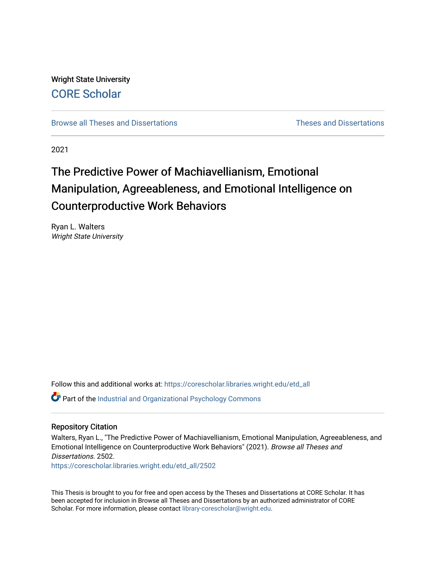Wright State University [CORE Scholar](https://corescholar.libraries.wright.edu/)

[Browse all Theses and Dissertations](https://corescholar.libraries.wright.edu/etd_all) **Example 20** and Dissertations **Theses** and Dissertations

2021

# The Predictive Power of Machiavellianism, Emotional Manipulation, Agreeableness, and Emotional Intelligence on Counterproductive Work Behaviors

Ryan L. Walters Wright State University

Follow this and additional works at: [https://corescholar.libraries.wright.edu/etd\\_all](https://corescholar.libraries.wright.edu/etd_all?utm_source=corescholar.libraries.wright.edu%2Fetd_all%2F2502&utm_medium=PDF&utm_campaign=PDFCoverPages) 

Part of the [Industrial and Organizational Psychology Commons](http://network.bepress.com/hgg/discipline/412?utm_source=corescholar.libraries.wright.edu%2Fetd_all%2F2502&utm_medium=PDF&utm_campaign=PDFCoverPages) 

#### Repository Citation

Walters, Ryan L., "The Predictive Power of Machiavellianism, Emotional Manipulation, Agreeableness, and Emotional Intelligence on Counterproductive Work Behaviors" (2021). Browse all Theses and Dissertations. 2502.

[https://corescholar.libraries.wright.edu/etd\\_all/2502](https://corescholar.libraries.wright.edu/etd_all/2502?utm_source=corescholar.libraries.wright.edu%2Fetd_all%2F2502&utm_medium=PDF&utm_campaign=PDFCoverPages)

This Thesis is brought to you for free and open access by the Theses and Dissertations at CORE Scholar. It has been accepted for inclusion in Browse all Theses and Dissertations by an authorized administrator of CORE Scholar. For more information, please contact [library-corescholar@wright.edu](mailto:library-corescholar@wright.edu).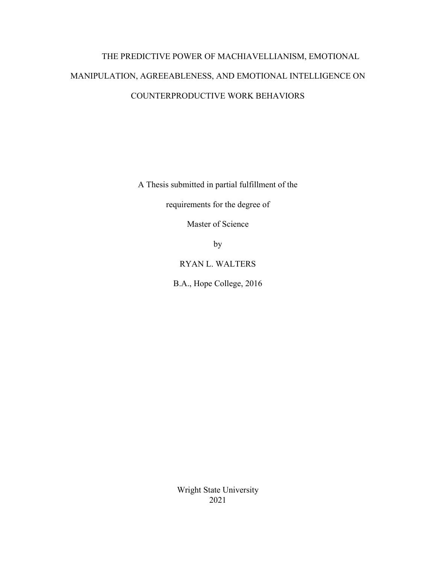# THE PREDICTIVE POWER OF MACHIAVELLIANISM, EMOTIONAL MANIPULATION, AGREEABLENESS, AND EMOTIONAL INTELLIGENCE ON COUNTERPRODUCTIVE WORK BEHAVIORS

A Thesis submitted in partial fulfillment of the

requirements for the degree of

Master of Science

by

RYAN L. WALTERS

B.A., Hope College, 2016

Wright State University 2021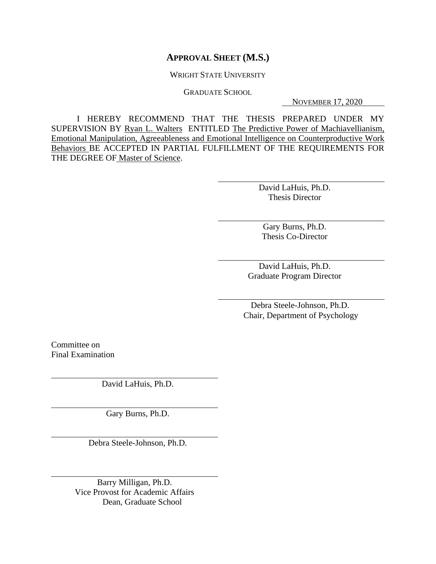### **APPROVAL SHEET (M.S.)**

WRIGHT STATE UNIVERSITY

GRADUATE SCHOOL

NOVEMBER 17, 2020

I HEREBY RECOMMEND THAT THE THESIS PREPARED UNDER MY SUPERVISION BY Ryan L. Walters ENTITLED The Predictive Power of Machiavellianism, Emotional Manipulation, Agreeableness and Emotional Intelligence on Counterproductive Work Behaviors BE ACCEPTED IN PARTIAL FULFILLMENT OF THE REQUIREMENTS FOR THE DEGREE OF Master of Science.

> David LaHuis, Ph.D. Thesis Director

Gary Burns, Ph.D. Thesis Co-Director

David LaHuis, Ph.D. Graduate Program Director

 Debra Steele-Johnson, Ph.D. Chair, Department of Psychology

Committee on Final Examination

David LaHuis, Ph.D.

Gary Burns, Ph.D.

Debra Steele-Johnson, Ph.D.

Barry Milligan, Ph.D. Vice Provost for Academic Affairs Dean, Graduate School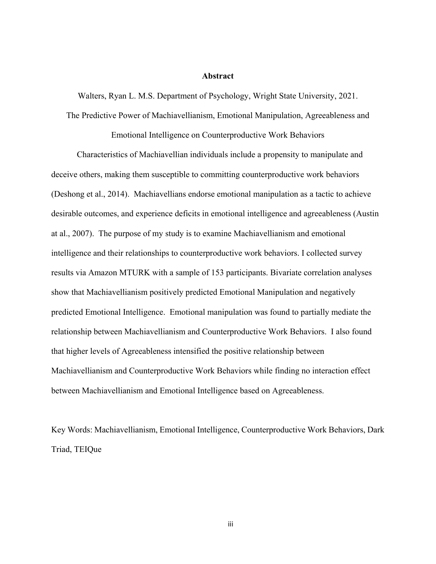#### **Abstract**

Walters, Ryan L. M.S. Department of Psychology, Wright State University, 2021.

The Predictive Power of Machiavellianism, Emotional Manipulation, Agreeableness and

Emotional Intelligence on Counterproductive Work Behaviors

Characteristics of Machiavellian individuals include a propensity to manipulate and deceive others, making them susceptible to committing counterproductive work behaviors (Deshong et al., 2014). Machiavellians endorse emotional manipulation as a tactic to achieve desirable outcomes, and experience deficits in emotional intelligence and agreeableness (Austin at al., 2007). The purpose of my study is to examine Machiavellianism and emotional intelligence and their relationships to counterproductive work behaviors. I collected survey results via Amazon MTURK with a sample of 153 participants. Bivariate correlation analyses show that Machiavellianism positively predicted Emotional Manipulation and negatively predicted Emotional Intelligence. Emotional manipulation was found to partially mediate the relationship between Machiavellianism and Counterproductive Work Behaviors. I also found that higher levels of Agreeableness intensified the positive relationship between Machiavellianism and Counterproductive Work Behaviors while finding no interaction effect between Machiavellianism and Emotional Intelligence based on Agreeableness.

Key Words: Machiavellianism, Emotional Intelligence, Counterproductive Work Behaviors, Dark Triad, TEIQue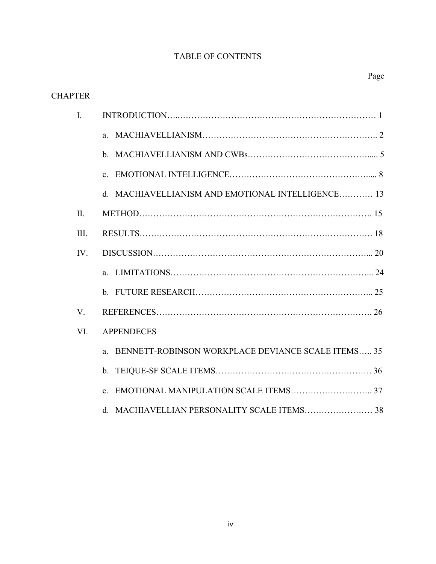## TABLE OF CONTENTS

| <b>CHAPTER</b> |                                                                   |
|----------------|-------------------------------------------------------------------|
| I.             |                                                                   |
|                | $a_{\cdot}$                                                       |
|                | $\mathbf{b}$ .                                                    |
|                | C <sub>1</sub>                                                    |
|                | MACHIAVELLIANISM AND EMOTIONAL INTELLIGENCE 13<br>d.              |
| $\Pi$ .        |                                                                   |
| III.           |                                                                   |
| IV.            |                                                                   |
|                |                                                                   |
|                |                                                                   |
| V.             |                                                                   |
| VI.            | <b>APPENDECES</b>                                                 |
|                | BENNETT-ROBINSON WORKPLACE DEVIANCE SCALE ITEMS 35<br>$a_{\cdot}$ |
|                | $\mathbf{b}$ .                                                    |
|                |                                                                   |
|                | d. MACHIAVELLIAN PERSONALITY SCALE ITEMS 38                       |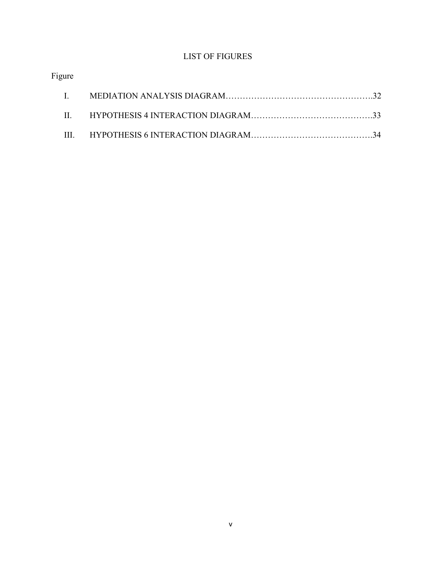## LIST OF FIGURES

## Figure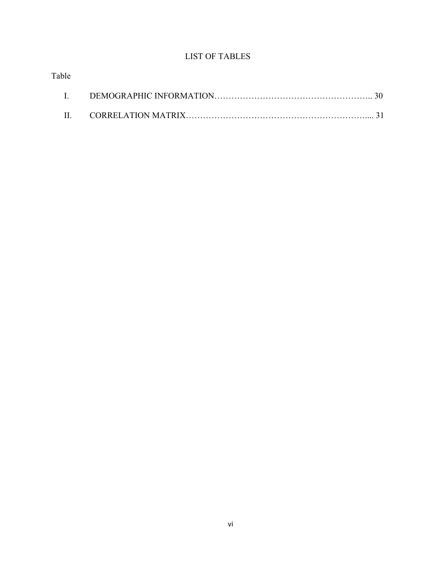## LIST OF TABLES

|  | Table |
|--|-------|
|  |       |
|  |       |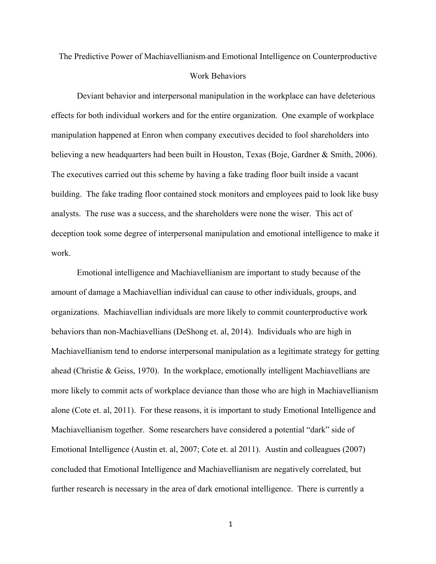## The Predictive Power of Machiavellianism and Emotional Intelligence on Counterproductive Work Behaviors

Deviant behavior and interpersonal manipulation in the workplace can have deleterious effects for both individual workers and for the entire organization. One example of workplace manipulation happened at Enron when company executives decided to fool shareholders into believing a new headquarters had been built in Houston, Texas (Boje, Gardner & Smith, 2006). The executives carried out this scheme by having a fake trading floor built inside a vacant building. The fake trading floor contained stock monitors and employees paid to look like busy analysts. The ruse was a success, and the shareholders were none the wiser. This act of deception took some degree of interpersonal manipulation and emotional intelligence to make it work.

Emotional intelligence and Machiavellianism are important to study because of the amount of damage a Machiavellian individual can cause to other individuals, groups, and organizations. Machiavellian individuals are more likely to commit counterproductive work behaviors than non-Machiavellians (DeShong et. al, 2014). Individuals who are high in Machiavellianism tend to endorse interpersonal manipulation as a legitimate strategy for getting ahead (Christie & Geiss, 1970). In the workplace, emotionally intelligent Machiavellians are more likely to commit acts of workplace deviance than those who are high in Machiavellianism alone (Cote et. al, 2011). For these reasons, it is important to study Emotional Intelligence and Machiavellianism together. Some researchers have considered a potential "dark" side of Emotional Intelligence (Austin et. al, 2007; Cote et. al 2011). Austin and colleagues (2007) concluded that Emotional Intelligence and Machiavellianism are negatively correlated, but further research is necessary in the area of dark emotional intelligence. There is currently a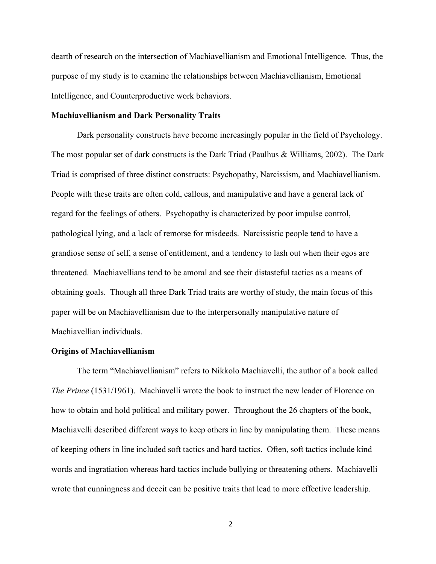dearth of research on the intersection of Machiavellianism and Emotional Intelligence. Thus, the purpose of my study is to examine the relationships between Machiavellianism, Emotional Intelligence, and Counterproductive work behaviors.

#### **Machiavellianism and Dark Personality Traits**

Dark personality constructs have become increasingly popular in the field of Psychology. The most popular set of dark constructs is the Dark Triad (Paulhus & Williams, 2002). The Dark Triad is comprised of three distinct constructs: Psychopathy, Narcissism, and Machiavellianism. People with these traits are often cold, callous, and manipulative and have a general lack of regard for the feelings of others. Psychopathy is characterized by poor impulse control, pathological lying, and a lack of remorse for misdeeds. Narcissistic people tend to have a grandiose sense of self, a sense of entitlement, and a tendency to lash out when their egos are threatened. Machiavellians tend to be amoral and see their distasteful tactics as a means of obtaining goals. Though all three Dark Triad traits are worthy of study, the main focus of this paper will be on Machiavellianism due to the interpersonally manipulative nature of Machiavellian individuals.

#### **Origins of Machiavellianism**

The term "Machiavellianism" refers to Nikkolo Machiavelli, the author of a book called *The Prince* (1531/1961). Machiavelli wrote the book to instruct the new leader of Florence on how to obtain and hold political and military power. Throughout the 26 chapters of the book, Machiavelli described different ways to keep others in line by manipulating them. These means of keeping others in line included soft tactics and hard tactics. Often, soft tactics include kind words and ingratiation whereas hard tactics include bullying or threatening others. Machiavelli wrote that cunningness and deceit can be positive traits that lead to more effective leadership.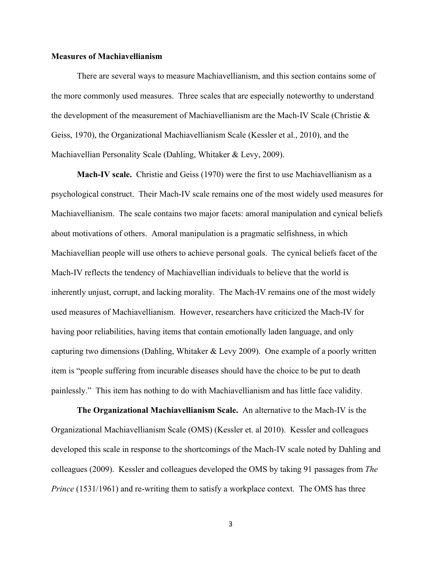#### **Measures of Machiavellianism**

There are several ways to measure Machiavellianism, and this section contains some of the more commonly used measures. Three scales that are especially noteworthy to understand the development of the measurement of Machiavellianism are the Mach-IV Scale (Christie & Geiss, 1970), the Organizational Machiavellianism Scale (Kessler et al., 2010), and the Machiavellian Personality Scale (Dahling, Whitaker & Levy, 2009).

**Mach-IV scale.** Christie and Geiss (1970) were the first to use Machiavellianism as a psychological construct. Their Mach-IV scale remains one of the most widely used measures for Machiavellianism. The scale contains two major facets: amoral manipulation and cynical beliefs about motivations of others. Amoral manipulation is a pragmatic selfishness, in which Machiavellian people will use others to achieve personal goals. The cynical beliefs facet of the Mach-IV reflects the tendency of Machiavellian individuals to believe that the world is inherently unjust, corrupt, and lacking morality. The Mach-IV remains one of the most widely used measures of Machiavellianism. However, researchers have criticized the Mach-IV for having poor reliabilities, having items that contain emotionally laden language, and only capturing two dimensions (Dahling, Whitaker & Levy 2009). One example of a poorly written item is "people suffering from incurable diseases should have the choice to be put to death painlessly." This item has nothing to do with Machiavellianism and has little face validity.

**The Organizational Machiavellianism Scale.** An alternative to the Mach-IV is the Organizational Machiavellianism Scale (OMS) (Kessler et. al 2010). Kessler and colleagues developed this scale in response to the shortcomings of the Mach-IV scale noted by Dahling and colleagues (2009). Kessler and colleagues developed the OMS by taking 91 passages from *The Prince* (1531/1961) and re-writing them to satisfy a workplace context. The OMS has three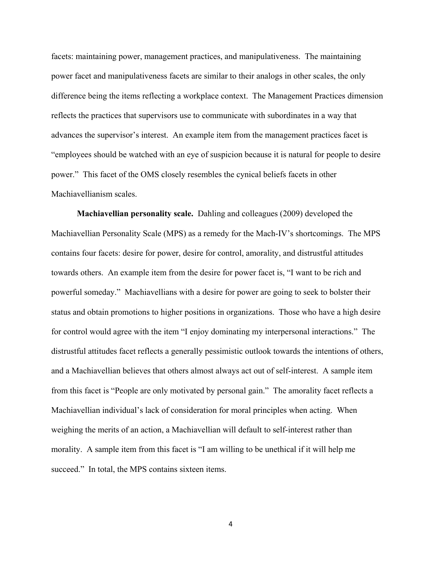facets: maintaining power, management practices, and manipulativeness. The maintaining power facet and manipulativeness facets are similar to their analogs in other scales, the only difference being the items reflecting a workplace context. The Management Practices dimension reflects the practices that supervisors use to communicate with subordinates in a way that advances the supervisor's interest. An example item from the management practices facet is "employees should be watched with an eye of suspicion because it is natural for people to desire power." This facet of the OMS closely resembles the cynical beliefs facets in other Machiavellianism scales.

**Machiavellian personality scale.** Dahling and colleagues (2009) developed the Machiavellian Personality Scale (MPS) as a remedy for the Mach-IV's shortcomings. The MPS contains four facets: desire for power, desire for control, amorality, and distrustful attitudes towards others. An example item from the desire for power facet is, "I want to be rich and powerful someday." Machiavellians with a desire for power are going to seek to bolster their status and obtain promotions to higher positions in organizations. Those who have a high desire for control would agree with the item "I enjoy dominating my interpersonal interactions." The distrustful attitudes facet reflects a generally pessimistic outlook towards the intentions of others, and a Machiavellian believes that others almost always act out of self-interest. A sample item from this facet is "People are only motivated by personal gain." The amorality facet reflects a Machiavellian individual's lack of consideration for moral principles when acting. When weighing the merits of an action, a Machiavellian will default to self-interest rather than morality. A sample item from this facet is "I am willing to be unethical if it will help me succeed." In total, the MPS contains sixteen items.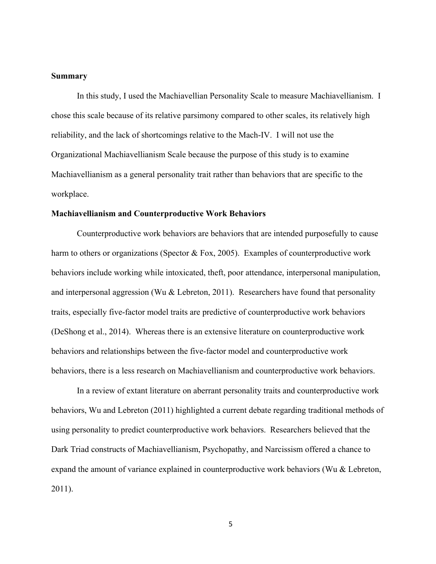#### **Summary**

In this study, I used the Machiavellian Personality Scale to measure Machiavellianism. I chose this scale because of its relative parsimony compared to other scales, its relatively high reliability, and the lack of shortcomings relative to the Mach-IV. I will not use the Organizational Machiavellianism Scale because the purpose of this study is to examine Machiavellianism as a general personality trait rather than behaviors that are specific to the workplace.

#### **Machiavellianism and Counterproductive Work Behaviors**

Counterproductive work behaviors are behaviors that are intended purposefully to cause harm to others or organizations (Spector & Fox, 2005). Examples of counterproductive work behaviors include working while intoxicated, theft, poor attendance, interpersonal manipulation, and interpersonal aggression (Wu & Lebreton, 2011). Researchers have found that personality traits, especially five-factor model traits are predictive of counterproductive work behaviors (DeShong et al., 2014). Whereas there is an extensive literature on counterproductive work behaviors and relationships between the five-factor model and counterproductive work behaviors, there is a less research on Machiavellianism and counterproductive work behaviors.

In a review of extant literature on aberrant personality traits and counterproductive work behaviors, Wu and Lebreton (2011) highlighted a current debate regarding traditional methods of using personality to predict counterproductive work behaviors. Researchers believed that the Dark Triad constructs of Machiavellianism, Psychopathy, and Narcissism offered a chance to expand the amount of variance explained in counterproductive work behaviors (Wu & Lebreton, 2011).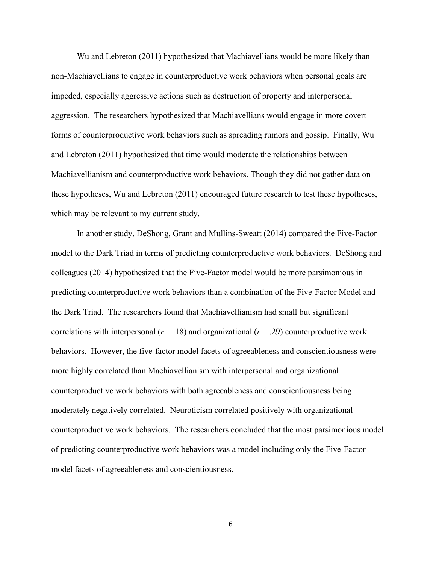Wu and Lebreton (2011) hypothesized that Machiavellians would be more likely than non-Machiavellians to engage in counterproductive work behaviors when personal goals are impeded, especially aggressive actions such as destruction of property and interpersonal aggression. The researchers hypothesized that Machiavellians would engage in more covert forms of counterproductive work behaviors such as spreading rumors and gossip. Finally, Wu and Lebreton (2011) hypothesized that time would moderate the relationships between Machiavellianism and counterproductive work behaviors. Though they did not gather data on these hypotheses, Wu and Lebreton (2011) encouraged future research to test these hypotheses, which may be relevant to my current study.

In another study, DeShong, Grant and Mullins-Sweatt (2014) compared the Five-Factor model to the Dark Triad in terms of predicting counterproductive work behaviors. DeShong and colleagues (2014) hypothesized that the Five-Factor model would be more parsimonious in predicting counterproductive work behaviors than a combination of the Five-Factor Model and the Dark Triad. The researchers found that Machiavellianism had small but significant correlations with interpersonal ( $r = .18$ ) and organizational ( $r = .29$ ) counterproductive work behaviors. However, the five-factor model facets of agreeableness and conscientiousness were more highly correlated than Machiavellianism with interpersonal and organizational counterproductive work behaviors with both agreeableness and conscientiousness being moderately negatively correlated. Neuroticism correlated positively with organizational counterproductive work behaviors. The researchers concluded that the most parsimonious model of predicting counterproductive work behaviors was a model including only the Five-Factor model facets of agreeableness and conscientiousness.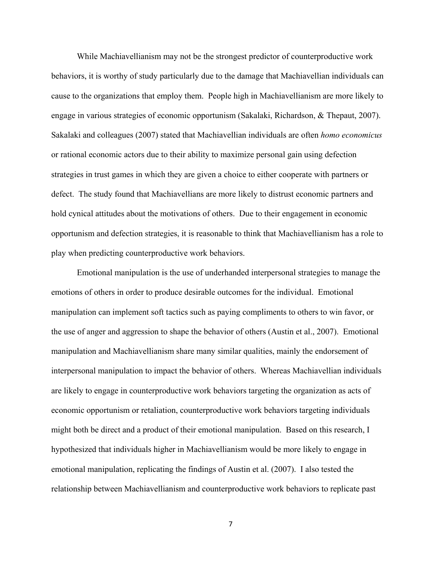While Machiavellianism may not be the strongest predictor of counterproductive work behaviors, it is worthy of study particularly due to the damage that Machiavellian individuals can cause to the organizations that employ them. People high in Machiavellianism are more likely to engage in various strategies of economic opportunism (Sakalaki, Richardson, & Thepaut, 2007). Sakalaki and colleagues (2007) stated that Machiavellian individuals are often *homo economicus* or rational economic actors due to their ability to maximize personal gain using defection strategies in trust games in which they are given a choice to either cooperate with partners or defect. The study found that Machiavellians are more likely to distrust economic partners and hold cynical attitudes about the motivations of others. Due to their engagement in economic opportunism and defection strategies, it is reasonable to think that Machiavellianism has a role to play when predicting counterproductive work behaviors.

Emotional manipulation is the use of underhanded interpersonal strategies to manage the emotions of others in order to produce desirable outcomes for the individual. Emotional manipulation can implement soft tactics such as paying compliments to others to win favor, or the use of anger and aggression to shape the behavior of others (Austin et al., 2007). Emotional manipulation and Machiavellianism share many similar qualities, mainly the endorsement of interpersonal manipulation to impact the behavior of others. Whereas Machiavellian individuals are likely to engage in counterproductive work behaviors targeting the organization as acts of economic opportunism or retaliation, counterproductive work behaviors targeting individuals might both be direct and a product of their emotional manipulation. Based on this research, I hypothesized that individuals higher in Machiavellianism would be more likely to engage in emotional manipulation, replicating the findings of Austin et al. (2007). I also tested the relationship between Machiavellianism and counterproductive work behaviors to replicate past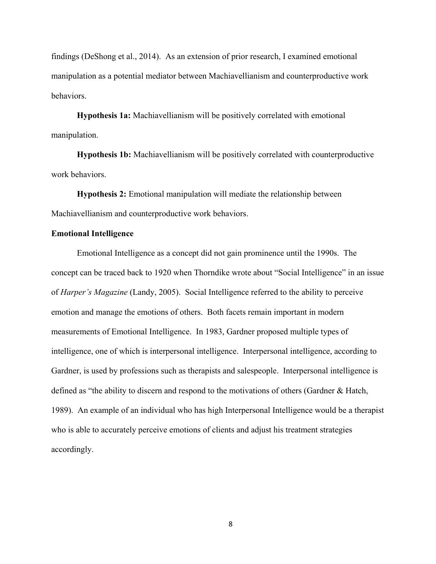findings (DeShong et al., 2014). As an extension of prior research, I examined emotional manipulation as a potential mediator between Machiavellianism and counterproductive work behaviors.

**Hypothesis 1a:** Machiavellianism will be positively correlated with emotional manipulation.

**Hypothesis 1b:** Machiavellianism will be positively correlated with counterproductive work behaviors.

**Hypothesis 2:** Emotional manipulation will mediate the relationship between Machiavellianism and counterproductive work behaviors.

#### **Emotional Intelligence**

Emotional Intelligence as a concept did not gain prominence until the 1990s. The concept can be traced back to 1920 when Thorndike wrote about "Social Intelligence" in an issue of *Harper's Magazine* (Landy, 2005). Social Intelligence referred to the ability to perceive emotion and manage the emotions of others. Both facets remain important in modern measurements of Emotional Intelligence. In 1983, Gardner proposed multiple types of intelligence, one of which is interpersonal intelligence. Interpersonal intelligence, according to Gardner, is used by professions such as therapists and salespeople. Interpersonal intelligence is defined as "the ability to discern and respond to the motivations of others (Gardner & Hatch, 1989). An example of an individual who has high Interpersonal Intelligence would be a therapist who is able to accurately perceive emotions of clients and adjust his treatment strategies accordingly.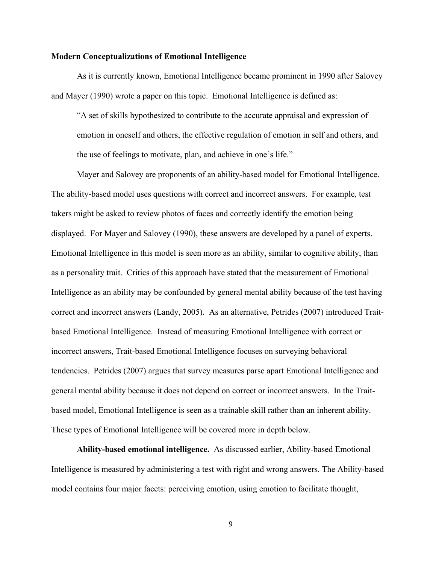#### **Modern Conceptualizations of Emotional Intelligence**

As it is currently known, Emotional Intelligence became prominent in 1990 after Salovey and Mayer (1990) wrote a paper on this topic. Emotional Intelligence is defined as:

"A set of skills hypothesized to contribute to the accurate appraisal and expression of emotion in oneself and others, the effective regulation of emotion in self and others, and the use of feelings to motivate, plan, and achieve in one's life."

Mayer and Salovey are proponents of an ability-based model for Emotional Intelligence. The ability-based model uses questions with correct and incorrect answers. For example, test takers might be asked to review photos of faces and correctly identify the emotion being displayed. For Mayer and Salovey (1990), these answers are developed by a panel of experts. Emotional Intelligence in this model is seen more as an ability, similar to cognitive ability, than as a personality trait. Critics of this approach have stated that the measurement of Emotional Intelligence as an ability may be confounded by general mental ability because of the test having correct and incorrect answers (Landy, 2005). As an alternative, Petrides (2007) introduced Traitbased Emotional Intelligence. Instead of measuring Emotional Intelligence with correct or incorrect answers, Trait-based Emotional Intelligence focuses on surveying behavioral tendencies. Petrides (2007) argues that survey measures parse apart Emotional Intelligence and general mental ability because it does not depend on correct or incorrect answers. In the Traitbased model, Emotional Intelligence is seen as a trainable skill rather than an inherent ability. These types of Emotional Intelligence will be covered more in depth below.

**Ability-based emotional intelligence.** As discussed earlier, Ability-based Emotional Intelligence is measured by administering a test with right and wrong answers. The Ability-based model contains four major facets: perceiving emotion, using emotion to facilitate thought,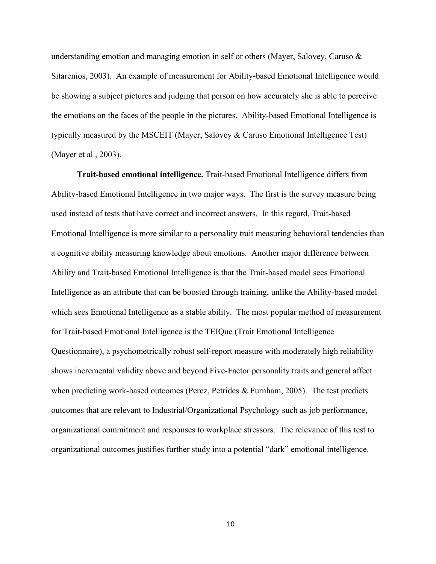understanding emotion and managing emotion in self or others (Mayer, Salovey, Caruso & Sitarenios, 2003). An example of measurement for Ability-based Emotional Intelligence would be showing a subject pictures and judging that person on how accurately she is able to perceive the emotions on the faces of the people in the pictures. Ability-based Emotional Intelligence is typically measured by the MSCEIT (Mayer, Salovey & Caruso Emotional Intelligence Test) (Mayer et al., 2003).

**Trait-based emotional intelligence.** Trait-based Emotional Intelligence differs from Ability-based Emotional Intelligence in two major ways. The first is the survey measure being used instead of tests that have correct and incorrect answers. In this regard, Trait-based Emotional Intelligence is more similar to a personality trait measuring behavioral tendencies than a cognitive ability measuring knowledge about emotions. Another major difference between Ability and Trait-based Emotional Intelligence is that the Trait-based model sees Emotional Intelligence as an attribute that can be boosted through training, unlike the Ability-based model which sees Emotional Intelligence as a stable ability. The most popular method of measurement for Trait-based Emotional Intelligence is the TEIQue (Trait Emotional Intelligence Questionnaire), a psychometrically robust self-report measure with moderately high reliability shows incremental validity above and beyond Five-Factor personality traits and general affect when predicting work-based outcomes (Perez, Petrides & Furnham, 2005). The test predicts outcomes that are relevant to Industrial/Organizational Psychology such as job performance, organizational commitment and responses to workplace stressors. The relevance of this test to organizational outcomes justifies further study into a potential "dark" emotional intelligence.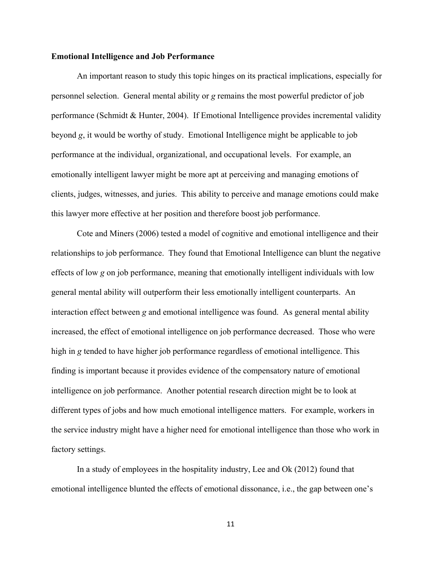#### **Emotional Intelligence and Job Performance**

An important reason to study this topic hinges on its practical implications, especially for personnel selection. General mental ability or *g* remains the most powerful predictor of job performance (Schmidt & Hunter, 2004). If Emotional Intelligence provides incremental validity beyond *g*, it would be worthy of study. Emotional Intelligence might be applicable to job performance at the individual, organizational, and occupational levels. For example, an emotionally intelligent lawyer might be more apt at perceiving and managing emotions of clients, judges, witnesses, and juries. This ability to perceive and manage emotions could make this lawyer more effective at her position and therefore boost job performance.

Cote and Miners (2006) tested a model of cognitive and emotional intelligence and their relationships to job performance. They found that Emotional Intelligence can blunt the negative effects of low *g* on job performance, meaning that emotionally intelligent individuals with low general mental ability will outperform their less emotionally intelligent counterparts. An interaction effect between *g* and emotional intelligence was found. As general mental ability increased, the effect of emotional intelligence on job performance decreased. Those who were high in *g* tended to have higher job performance regardless of emotional intelligence. This finding is important because it provides evidence of the compensatory nature of emotional intelligence on job performance. Another potential research direction might be to look at different types of jobs and how much emotional intelligence matters. For example, workers in the service industry might have a higher need for emotional intelligence than those who work in factory settings.

In a study of employees in the hospitality industry, Lee and Ok (2012) found that emotional intelligence blunted the effects of emotional dissonance, i.e., the gap between one's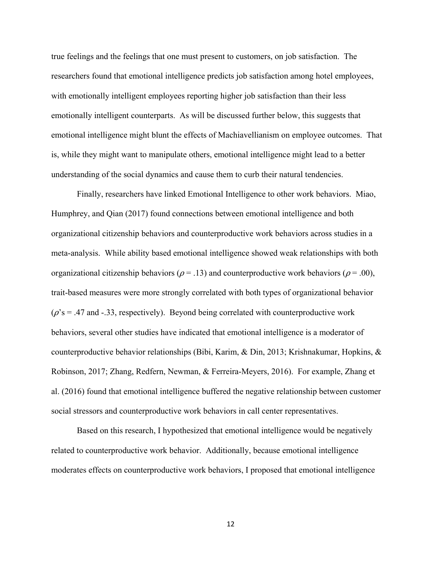true feelings and the feelings that one must present to customers, on job satisfaction. The researchers found that emotional intelligence predicts job satisfaction among hotel employees, with emotionally intelligent employees reporting higher job satisfaction than their less emotionally intelligent counterparts. As will be discussed further below, this suggests that emotional intelligence might blunt the effects of Machiavellianism on employee outcomes. That is, while they might want to manipulate others, emotional intelligence might lead to a better understanding of the social dynamics and cause them to curb their natural tendencies.

Finally, researchers have linked Emotional Intelligence to other work behaviors. Miao, Humphrey, and Qian (2017) found connections between emotional intelligence and both organizational citizenship behaviors and counterproductive work behaviors across studies in a meta-analysis. While ability based emotional intelligence showed weak relationships with both organizational citizenship behaviors ( $\rho = .13$ ) and counterproductive work behaviors ( $\rho = .00$ ), trait-based measures were more strongly correlated with both types of organizational behavior  $(\rho$ 's = .47 and -.33, respectively). Beyond being correlated with counterproductive work behaviors, several other studies have indicated that emotional intelligence is a moderator of counterproductive behavior relationships (Bibi, Karim, & Din, 2013; Krishnakumar, Hopkins, & Robinson, 2017; Zhang, Redfern, Newman, & Ferreira-Meyers, 2016). For example, Zhang et al. (2016) found that emotional intelligence buffered the negative relationship between customer social stressors and counterproductive work behaviors in call center representatives.

Based on this research, I hypothesized that emotional intelligence would be negatively related to counterproductive work behavior. Additionally, because emotional intelligence moderates effects on counterproductive work behaviors, I proposed that emotional intelligence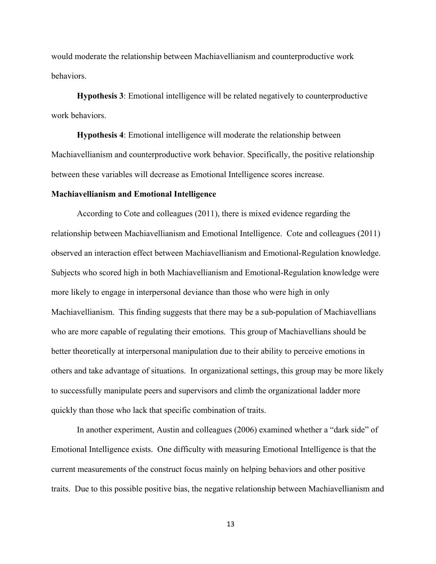would moderate the relationship between Machiavellianism and counterproductive work behaviors.

**Hypothesis 3**: Emotional intelligence will be related negatively to counterproductive work behaviors.

**Hypothesis 4**: Emotional intelligence will moderate the relationship between Machiavellianism and counterproductive work behavior. Specifically, the positive relationship between these variables will decrease as Emotional Intelligence scores increase.

#### **Machiavellianism and Emotional Intelligence**

According to Cote and colleagues (2011), there is mixed evidence regarding the relationship between Machiavellianism and Emotional Intelligence. Cote and colleagues (2011) observed an interaction effect between Machiavellianism and Emotional-Regulation knowledge. Subjects who scored high in both Machiavellianism and Emotional-Regulation knowledge were more likely to engage in interpersonal deviance than those who were high in only Machiavellianism. This finding suggests that there may be a sub-population of Machiavellians who are more capable of regulating their emotions. This group of Machiavellians should be better theoretically at interpersonal manipulation due to their ability to perceive emotions in others and take advantage of situations. In organizational settings, this group may be more likely to successfully manipulate peers and supervisors and climb the organizational ladder more quickly than those who lack that specific combination of traits.

In another experiment, Austin and colleagues (2006) examined whether a "dark side" of Emotional Intelligence exists. One difficulty with measuring Emotional Intelligence is that the current measurements of the construct focus mainly on helping behaviors and other positive traits. Due to this possible positive bias, the negative relationship between Machiavellianism and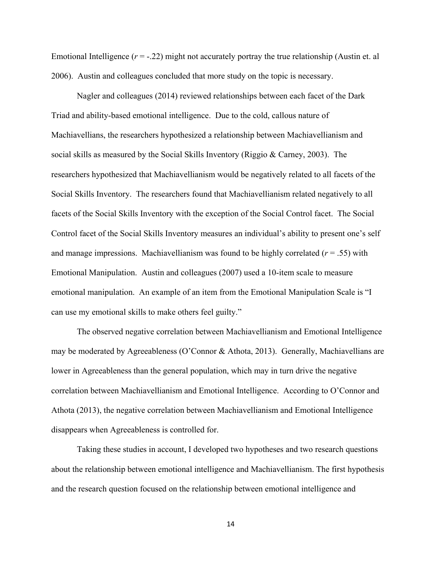Emotional Intelligence  $(r = -.22)$  might not accurately portray the true relationship (Austin et. al 2006). Austin and colleagues concluded that more study on the topic is necessary.

Nagler and colleagues (2014) reviewed relationships between each facet of the Dark Triad and ability-based emotional intelligence. Due to the cold, callous nature of Machiavellians, the researchers hypothesized a relationship between Machiavellianism and social skills as measured by the Social Skills Inventory (Riggio & Carney, 2003). The researchers hypothesized that Machiavellianism would be negatively related to all facets of the Social Skills Inventory. The researchers found that Machiavellianism related negatively to all facets of the Social Skills Inventory with the exception of the Social Control facet. The Social Control facet of the Social Skills Inventory measures an individual's ability to present one's self and manage impressions. Machiavellianism was found to be highly correlated  $(r = .55)$  with Emotional Manipulation. Austin and colleagues (2007) used a 10-item scale to measure emotional manipulation. An example of an item from the Emotional Manipulation Scale is "I can use my emotional skills to make others feel guilty."

The observed negative correlation between Machiavellianism and Emotional Intelligence may be moderated by Agreeableness (O'Connor & Athota, 2013). Generally, Machiavellians are lower in Agreeableness than the general population, which may in turn drive the negative correlation between Machiavellianism and Emotional Intelligence. According to O'Connor and Athota (2013), the negative correlation between Machiavellianism and Emotional Intelligence disappears when Agreeableness is controlled for.

Taking these studies in account, I developed two hypotheses and two research questions about the relationship between emotional intelligence and Machiavellianism. The first hypothesis and the research question focused on the relationship between emotional intelligence and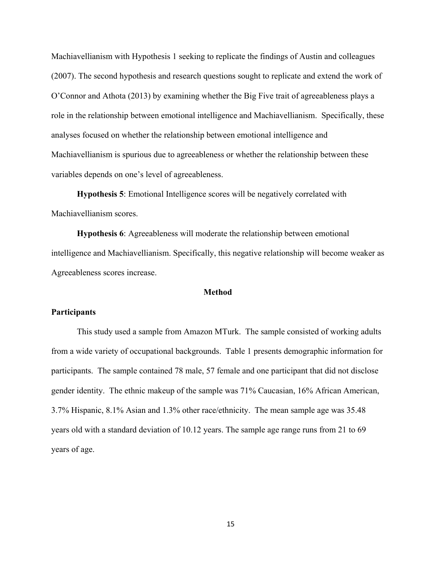Machiavellianism with Hypothesis 1 seeking to replicate the findings of Austin and colleagues (2007). The second hypothesis and research questions sought to replicate and extend the work of O'Connor and Athota (2013) by examining whether the Big Five trait of agreeableness plays a role in the relationship between emotional intelligence and Machiavellianism. Specifically, these analyses focused on whether the relationship between emotional intelligence and Machiavellianism is spurious due to agreeableness or whether the relationship between these variables depends on one's level of agreeableness.

**Hypothesis 5**: Emotional Intelligence scores will be negatively correlated with Machiavellianism scores.

**Hypothesis 6**: Agreeableness will moderate the relationship between emotional intelligence and Machiavellianism. Specifically, this negative relationship will become weaker as Agreeableness scores increase.

#### **Method**

#### **Participants**

This study used a sample from Amazon MTurk. The sample consisted of working adults from a wide variety of occupational backgrounds. Table 1 presents demographic information for participants. The sample contained 78 male, 57 female and one participant that did not disclose gender identity. The ethnic makeup of the sample was 71% Caucasian, 16% African American, 3.7% Hispanic, 8.1% Asian and 1.3% other race/ethnicity. The mean sample age was 35.48 years old with a standard deviation of 10.12 years. The sample age range runs from 21 to 69 years of age.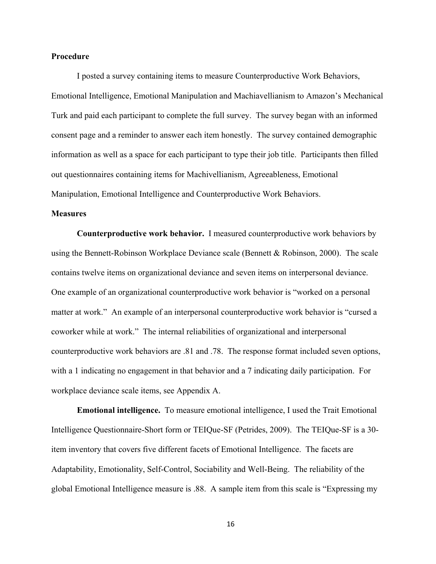#### **Procedure**

I posted a survey containing items to measure Counterproductive Work Behaviors, Emotional Intelligence, Emotional Manipulation and Machiavellianism to Amazon's Mechanical Turk and paid each participant to complete the full survey. The survey began with an informed consent page and a reminder to answer each item honestly. The survey contained demographic information as well as a space for each participant to type their job title. Participants then filled out questionnaires containing items for Machivellianism, Agreeableness, Emotional Manipulation, Emotional Intelligence and Counterproductive Work Behaviors.

#### **Measures**

**Counterproductive work behavior.** I measured counterproductive work behaviors by using the Bennett-Robinson Workplace Deviance scale (Bennett & Robinson, 2000). The scale contains twelve items on organizational deviance and seven items on interpersonal deviance. One example of an organizational counterproductive work behavior is "worked on a personal matter at work." An example of an interpersonal counterproductive work behavior is "cursed a coworker while at work." The internal reliabilities of organizational and interpersonal counterproductive work behaviors are .81 and .78. The response format included seven options, with a 1 indicating no engagement in that behavior and a 7 indicating daily participation. For workplace deviance scale items, see Appendix A.

**Emotional intelligence.** To measure emotional intelligence, I used the Trait Emotional Intelligence Questionnaire-Short form or TEIQue-SF (Petrides, 2009). The TEIQue-SF is a 30 item inventory that covers five different facets of Emotional Intelligence. The facets are Adaptability, Emotionality, Self-Control, Sociability and Well-Being. The reliability of the global Emotional Intelligence measure is .88. A sample item from this scale is "Expressing my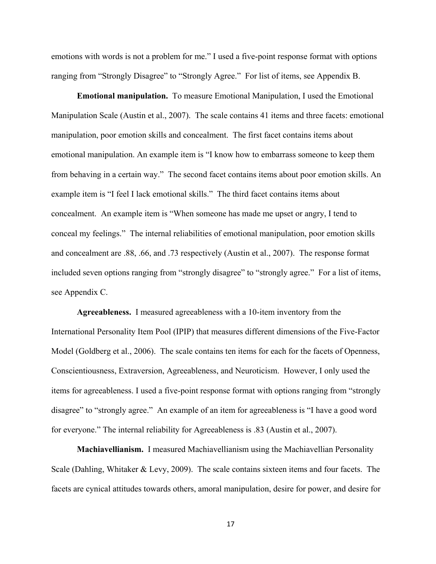emotions with words is not a problem for me." I used a five-point response format with options ranging from "Strongly Disagree" to "Strongly Agree." For list of items, see Appendix B.

**Emotional manipulation.** To measure Emotional Manipulation, I used the Emotional Manipulation Scale (Austin et al., 2007). The scale contains 41 items and three facets: emotional manipulation, poor emotion skills and concealment. The first facet contains items about emotional manipulation. An example item is "I know how to embarrass someone to keep them from behaving in a certain way." The second facet contains items about poor emotion skills. An example item is "I feel I lack emotional skills." The third facet contains items about concealment. An example item is "When someone has made me upset or angry, I tend to conceal my feelings." The internal reliabilities of emotional manipulation, poor emotion skills and concealment are .88, .66, and .73 respectively (Austin et al., 2007). The response format included seven options ranging from "strongly disagree" to "strongly agree." For a list of items, see Appendix C.

**Agreeableness.** I measured agreeableness with a 10-item inventory from the International Personality Item Pool (IPIP) that measures different dimensions of the Five-Factor Model (Goldberg et al., 2006). The scale contains ten items for each for the facets of Openness, Conscientiousness, Extraversion, Agreeableness, and Neuroticism. However, I only used the items for agreeableness. I used a five-point response format with options ranging from "strongly disagree" to "strongly agree." An example of an item for agreeableness is "I have a good word for everyone." The internal reliability for Agreeableness is .83 (Austin et al., 2007).

**Machiavellianism.** I measured Machiavellianism using the Machiavellian Personality Scale (Dahling, Whitaker & Levy, 2009). The scale contains sixteen items and four facets. The facets are cynical attitudes towards others, amoral manipulation, desire for power, and desire for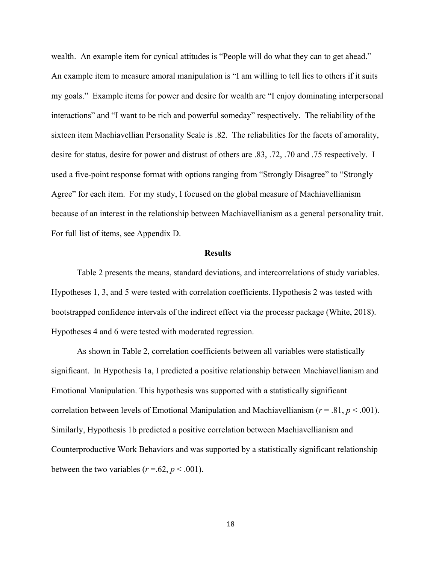wealth. An example item for cynical attitudes is "People will do what they can to get ahead." An example item to measure amoral manipulation is "I am willing to tell lies to others if it suits my goals." Example items for power and desire for wealth are "I enjoy dominating interpersonal interactions" and "I want to be rich and powerful someday" respectively. The reliability of the sixteen item Machiavellian Personality Scale is .82. The reliabilities for the facets of amorality, desire for status, desire for power and distrust of others are .83, .72, .70 and .75 respectively. I used a five-point response format with options ranging from "Strongly Disagree" to "Strongly Agree" for each item. For my study, I focused on the global measure of Machiavellianism because of an interest in the relationship between Machiavellianism as a general personality trait. For full list of items, see Appendix D.

#### **Results**

Table 2 presents the means, standard deviations, and intercorrelations of study variables. Hypotheses 1, 3, and 5 were tested with correlation coefficients. Hypothesis 2 was tested with bootstrapped confidence intervals of the indirect effect via the processr package (White, 2018). Hypotheses 4 and 6 were tested with moderated regression.

As shown in Table 2, correlation coefficients between all variables were statistically significant. In Hypothesis 1a, I predicted a positive relationship between Machiavellianism and Emotional Manipulation. This hypothesis was supported with a statistically significant correlation between levels of Emotional Manipulation and Machiavellianism (*r* = .81, *p* < .001). Similarly, Hypothesis 1b predicted a positive correlation between Machiavellianism and Counterproductive Work Behaviors and was supported by a statistically significant relationship between the two variables ( $r = .62$ ,  $p < .001$ ).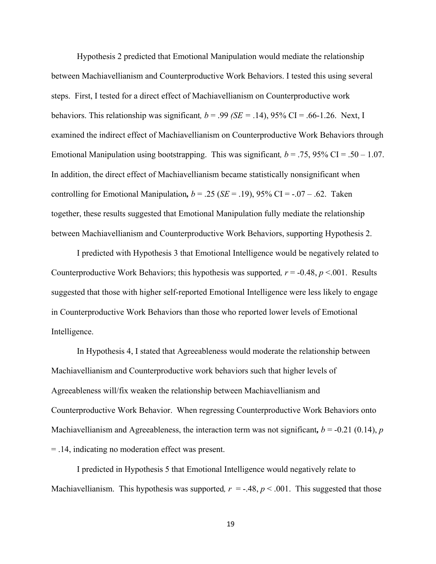Hypothesis 2 predicted that Emotional Manipulation would mediate the relationship between Machiavellianism and Counterproductive Work Behaviors. I tested this using several steps. First, I tested for a direct effect of Machiavellianism on Counterproductive work behaviors. This relationship was significant,  $b = .99$  *(SE* = .14), 95% CI = .66-1.26. Next, I examined the indirect effect of Machiavellianism on Counterproductive Work Behaviors through Emotional Manipulation using bootstrapping. This was significant,  $b = .75$ , 95% CI = .50 – 1.07. In addition, the direct effect of Machiavellianism became statistically nonsignificant when controlling for Emotional Manipulation,  $b = .25$  ( $SE = .19$ ), 95% CI =  $-.07 - .62$ . Taken together, these results suggested that Emotional Manipulation fully mediate the relationship between Machiavellianism and Counterproductive Work Behaviors, supporting Hypothesis 2.

I predicted with Hypothesis 3 that Emotional Intelligence would be negatively related to Counterproductive Work Behaviors; this hypothesis was supported,  $r = -0.48$ ,  $p \le 0.01$ . Results suggested that those with higher self-reported Emotional Intelligence were less likely to engage in Counterproductive Work Behaviors than those who reported lower levels of Emotional Intelligence.

In Hypothesis 4, I stated that Agreeableness would moderate the relationship between Machiavellianism and Counterproductive work behaviors such that higher levels of Agreeableness will/fix weaken the relationship between Machiavellianism and Counterproductive Work Behavior. When regressing Counterproductive Work Behaviors onto Machiavellianism and Agreeableness, the interaction term was not significant,  $b = -0.21$  (0.14), *p* = .14, indicating no moderation effect was present.

I predicted in Hypothesis 5 that Emotional Intelligence would negatively relate to Machiavellianism. This hypothesis was supported,  $r = -.48$ ,  $p < .001$ . This suggested that those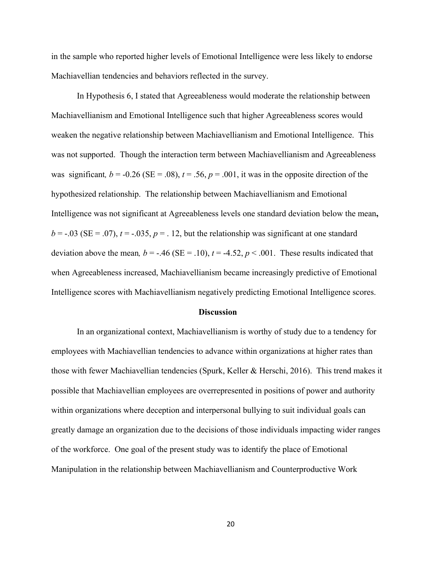in the sample who reported higher levels of Emotional Intelligence were less likely to endorse Machiavellian tendencies and behaviors reflected in the survey.

In Hypothesis 6, I stated that Agreeableness would moderate the relationship between Machiavellianism and Emotional Intelligence such that higher Agreeableness scores would weaken the negative relationship between Machiavellianism and Emotional Intelligence. This was not supported. Though the interaction term between Machiavellianism and Agreeableness was significant,  $b = -0.26$  (SE = .08),  $t = .56$ ,  $p = .001$ , it was in the opposite direction of the hypothesized relationship. The relationship between Machiavellianism and Emotional Intelligence was not significant at Agreeableness levels one standard deviation below the mean**,**  $b = -0.03$  (SE = .07),  $t = -0.035$ ,  $p = 0.12$ , but the relationship was significant at one standard deviation above the mean,  $b = -0.46$  (SE = .10),  $t = -4.52$ ,  $p < 0.001$ . These results indicated that when Agreeableness increased, Machiavellianism became increasingly predictive of Emotional Intelligence scores with Machiavellianism negatively predicting Emotional Intelligence scores.

#### **Discussion**

In an organizational context, Machiavellianism is worthy of study due to a tendency for employees with Machiavellian tendencies to advance within organizations at higher rates than those with fewer Machiavellian tendencies (Spurk, Keller & Herschi, 2016). This trend makes it possible that Machiavellian employees are overrepresented in positions of power and authority within organizations where deception and interpersonal bullying to suit individual goals can greatly damage an organization due to the decisions of those individuals impacting wider ranges of the workforce. One goal of the present study was to identify the place of Emotional Manipulation in the relationship between Machiavellianism and Counterproductive Work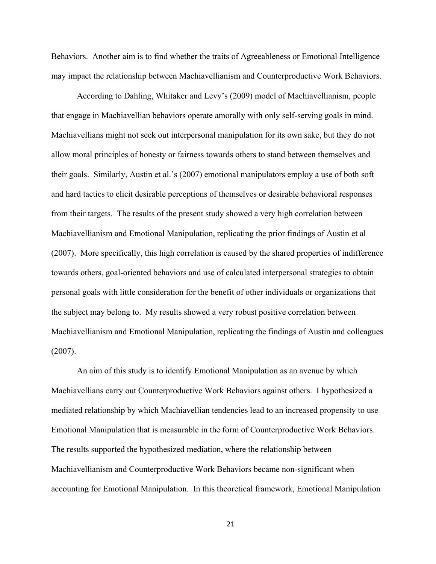Behaviors. Another aim is to find whether the traits of Agreeableness or Emotional Intelligence may impact the relationship between Machiavellianism and Counterproductive Work Behaviors.

According to Dahling, Whitaker and Levy's (2009) model of Machiavellianism, people that engage in Machiavellian behaviors operate amorally with only self-serving goals in mind. Machiavellians might not seek out interpersonal manipulation for its own sake, but they do not allow moral principles of honesty or fairness towards others to stand between themselves and their goals. Similarly, Austin et al.'s (2007) emotional manipulators employ a use of both soft and hard tactics to elicit desirable perceptions of themselves or desirable behavioral responses from their targets. The results of the present study showed a very high correlation between Machiavellianism and Emotional Manipulation, replicating the prior findings of Austin et al (2007). More specifically, this high correlation is caused by the shared properties of indifference towards others, goal-oriented behaviors and use of calculated interpersonal strategies to obtain personal goals with little consideration for the benefit of other individuals or organizations that the subject may belong to. My results showed a very robust positive correlation between Machiavellianism and Emotional Manipulation, replicating the findings of Austin and colleagues (2007).

 An aim of this study is to identify Emotional Manipulation as an avenue by which Machiavellians carry out Counterproductive Work Behaviors against others. I hypothesized a mediated relationship by which Machiavellian tendencies lead to an increased propensity to use Emotional Manipulation that is measurable in the form of Counterproductive Work Behaviors. The results supported the hypothesized mediation, where the relationship between Machiavellianism and Counterproductive Work Behaviors became non-significant when accounting for Emotional Manipulation. In this theoretical framework, Emotional Manipulation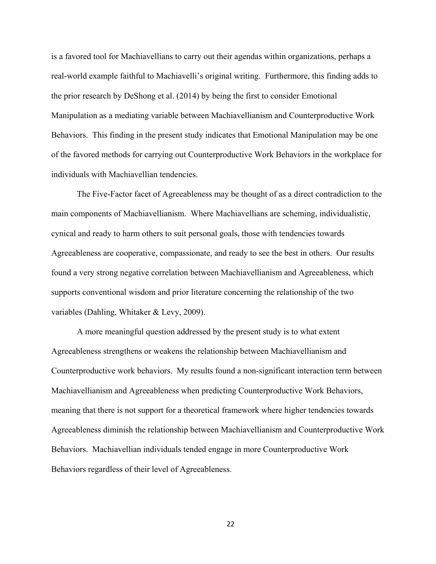is a favored tool for Machiavellians to carry out their agendas within organizations, perhaps a real-world example faithful to Machiavelli's original writing. Furthermore, this finding adds to the prior research by DeShong et al. (2014) by being the first to consider Emotional Manipulation as a mediating variable between Machiavellianism and Counterproductive Work Behaviors. This finding in the present study indicates that Emotional Manipulation may be one of the favored methods for carrying out Counterproductive Work Behaviors in the workplace for individuals with Machiavellian tendencies.

The Five-Factor facet of Agreeableness may be thought of as a direct contradiction to the main components of Machiavellianism. Where Machiavellians are scheming, individualistic, cynical and ready to harm others to suit personal goals, those with tendencies towards Agreeableness are cooperative, compassionate, and ready to see the best in others. Our results found a very strong negative correlation between Machiavellianism and Agreeableness, which supports conventional wisdom and prior literature concerning the relationship of the two variables (Dahling, Whitaker & Levy, 2009).

 A more meaningful question addressed by the present study is to what extent Agreeableness strengthens or weakens the relationship between Machiavellianism and Counterproductive work behaviors. My results found a non-significant interaction term between Machiavellianism and Agreeableness when predicting Counterproductive Work Behaviors, meaning that there is not support for a theoretical framework where higher tendencies towards Agreeableness diminish the relationship between Machiavellianism and Counterproductive Work Behaviors. Machiavellian individuals tended engage in more Counterproductive Work Behaviors regardless of their level of Agreeableness.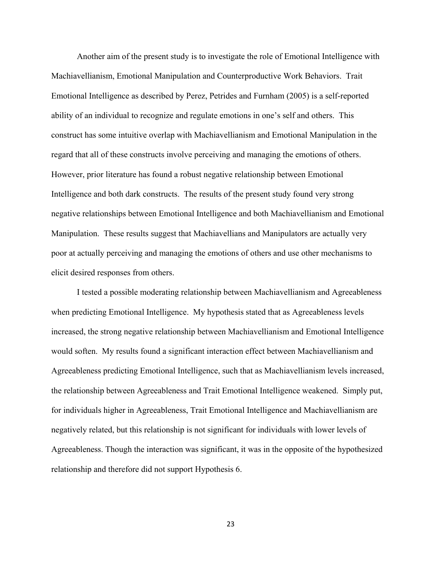Another aim of the present study is to investigate the role of Emotional Intelligence with Machiavellianism, Emotional Manipulation and Counterproductive Work Behaviors. Trait Emotional Intelligence as described by Perez, Petrides and Furnham (2005) is a self-reported ability of an individual to recognize and regulate emotions in one's self and others. This construct has some intuitive overlap with Machiavellianism and Emotional Manipulation in the regard that all of these constructs involve perceiving and managing the emotions of others. However, prior literature has found a robust negative relationship between Emotional Intelligence and both dark constructs. The results of the present study found very strong negative relationships between Emotional Intelligence and both Machiavellianism and Emotional Manipulation. These results suggest that Machiavellians and Manipulators are actually very poor at actually perceiving and managing the emotions of others and use other mechanisms to elicit desired responses from others.

I tested a possible moderating relationship between Machiavellianism and Agreeableness when predicting Emotional Intelligence. My hypothesis stated that as Agreeableness levels increased, the strong negative relationship between Machiavellianism and Emotional Intelligence would soften. My results found a significant interaction effect between Machiavellianism and Agreeableness predicting Emotional Intelligence, such that as Machiavellianism levels increased, the relationship between Agreeableness and Trait Emotional Intelligence weakened. Simply put, for individuals higher in Agreeableness, Trait Emotional Intelligence and Machiavellianism are negatively related, but this relationship is not significant for individuals with lower levels of Agreeableness. Though the interaction was significant, it was in the opposite of the hypothesized relationship and therefore did not support Hypothesis 6.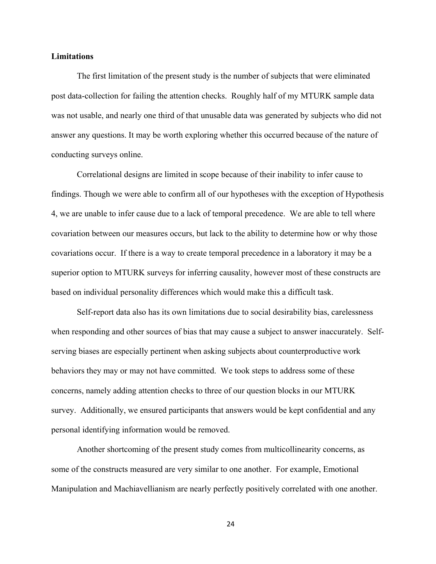#### **Limitations**

The first limitation of the present study is the number of subjects that were eliminated post data-collection for failing the attention checks. Roughly half of my MTURK sample data was not usable, and nearly one third of that unusable data was generated by subjects who did not answer any questions. It may be worth exploring whether this occurred because of the nature of conducting surveys online.

Correlational designs are limited in scope because of their inability to infer cause to findings. Though we were able to confirm all of our hypotheses with the exception of Hypothesis 4, we are unable to infer cause due to a lack of temporal precedence. We are able to tell where covariation between our measures occurs, but lack to the ability to determine how or why those covariations occur. If there is a way to create temporal precedence in a laboratory it may be a superior option to MTURK surveys for inferring causality, however most of these constructs are based on individual personality differences which would make this a difficult task.

Self-report data also has its own limitations due to social desirability bias, carelessness when responding and other sources of bias that may cause a subject to answer inaccurately. Selfserving biases are especially pertinent when asking subjects about counterproductive work behaviors they may or may not have committed. We took steps to address some of these concerns, namely adding attention checks to three of our question blocks in our MTURK survey. Additionally, we ensured participants that answers would be kept confidential and any personal identifying information would be removed.

 Another shortcoming of the present study comes from multicollinearity concerns, as some of the constructs measured are very similar to one another. For example, Emotional Manipulation and Machiavellianism are nearly perfectly positively correlated with one another.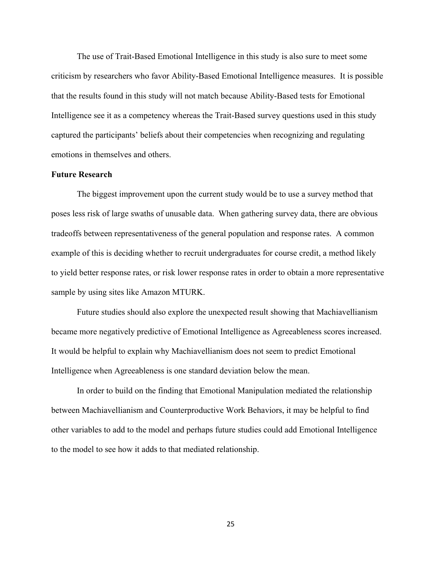The use of Trait-Based Emotional Intelligence in this study is also sure to meet some criticism by researchers who favor Ability-Based Emotional Intelligence measures. It is possible that the results found in this study will not match because Ability-Based tests for Emotional Intelligence see it as a competency whereas the Trait-Based survey questions used in this study captured the participants' beliefs about their competencies when recognizing and regulating emotions in themselves and others.

#### **Future Research**

The biggest improvement upon the current study would be to use a survey method that poses less risk of large swaths of unusable data. When gathering survey data, there are obvious tradeoffs between representativeness of the general population and response rates. A common example of this is deciding whether to recruit undergraduates for course credit, a method likely to yield better response rates, or risk lower response rates in order to obtain a more representative sample by using sites like Amazon MTURK.

 Future studies should also explore the unexpected result showing that Machiavellianism became more negatively predictive of Emotional Intelligence as Agreeableness scores increased. It would be helpful to explain why Machiavellianism does not seem to predict Emotional Intelligence when Agreeableness is one standard deviation below the mean.

 In order to build on the finding that Emotional Manipulation mediated the relationship between Machiavellianism and Counterproductive Work Behaviors, it may be helpful to find other variables to add to the model and perhaps future studies could add Emotional Intelligence to the model to see how it adds to that mediated relationship.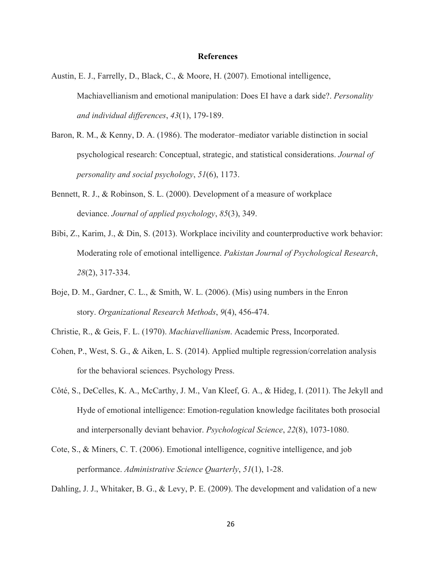#### **References**

- Austin, E. J., Farrelly, D., Black, C., & Moore, H. (2007). Emotional intelligence, Machiavellianism and emotional manipulation: Does EI have a dark side?. *Personality and individual differences*, *43*(1), 179-189.
- Baron, R. M., & Kenny, D. A. (1986). The moderator–mediator variable distinction in social psychological research: Conceptual, strategic, and statistical considerations. *Journal of personality and social psychology*, *51*(6), 1173.
- Bennett, R. J., & Robinson, S. L. (2000). Development of a measure of workplace deviance. *Journal of applied psychology*, *85*(3), 349.
- Bibi, Z., Karim, J., & Din, S. (2013). Workplace incivility and counterproductive work behavior: Moderating role of emotional intelligence. *Pakistan Journal of Psychological Research*, *28*(2), 317-334.
- Boje, D. M., Gardner, C. L., & Smith, W. L. (2006). (Mis) using numbers in the Enron story. *Organizational Research Methods*, *9*(4), 456-474.
- Christie, R., & Geis, F. L. (1970). *Machiavellianism*. Academic Press, Incorporated.
- Cohen, P., West, S. G., & Aiken, L. S. (2014). Applied multiple regression/correlation analysis for the behavioral sciences. Psychology Press.
- Côté, S., DeCelles, K. A., McCarthy, J. M., Van Kleef, G. A., & Hideg, I. (2011). The Jekyll and Hyde of emotional intelligence: Emotion-regulation knowledge facilitates both prosocial and interpersonally deviant behavior. *Psychological Science*, *22*(8), 1073-1080.
- Cote, S., & Miners, C. T. (2006). Emotional intelligence, cognitive intelligence, and job performance. *Administrative Science Quarterly*, *51*(1), 1-28.

Dahling, J. J., Whitaker, B. G., & Levy, P. E. (2009). The development and validation of a new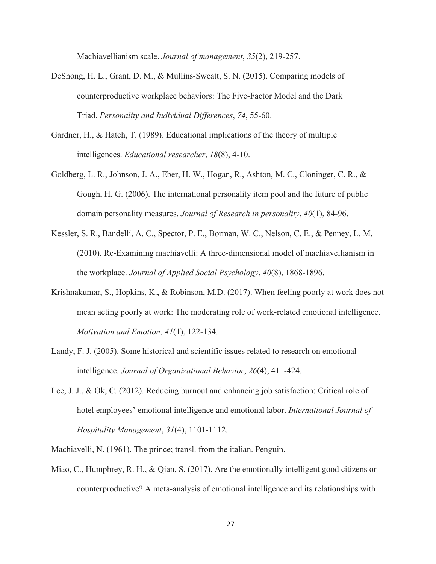Machiavellianism scale. *Journal of management*, *35*(2), 219-257.

- DeShong, H. L., Grant, D. M., & Mullins-Sweatt, S. N. (2015). Comparing models of counterproductive workplace behaviors: The Five-Factor Model and the Dark Triad. *Personality and Individual Differences*, *74*, 55-60.
- Gardner, H., & Hatch, T. (1989). Educational implications of the theory of multiple intelligences. *Educational researcher*, *18*(8), 4-10.
- Goldberg, L. R., Johnson, J. A., Eber, H. W., Hogan, R., Ashton, M. C., Cloninger, C. R., & Gough, H. G. (2006). The international personality item pool and the future of public domain personality measures. *Journal of Research in personality*, *40*(1), 84-96.
- Kessler, S. R., Bandelli, A. C., Spector, P. E., Borman, W. C., Nelson, C. E., & Penney, L. M. (2010). Re‐Examining machiavelli: A three‐dimensional model of machiavellianism in the workplace. *Journal of Applied Social Psychology*, *40*(8), 1868-1896.
- Krishnakumar, S., Hopkins, K., & Robinson, M.D. (2017). When feeling poorly at work does not mean acting poorly at work: The moderating role of work-related emotional intelligence. *Motivation and Emotion, 41*(1), 122-134.
- Landy, F. J. (2005). Some historical and scientific issues related to research on emotional intelligence. *Journal of Organizational Behavior*, *26*(4), 411-424.
- Lee, J. J., & Ok, C. (2012). Reducing burnout and enhancing job satisfaction: Critical role of hotel employees' emotional intelligence and emotional labor. *International Journal of Hospitality Management*, *31*(4), 1101-1112.
- Machiavelli, N. (1961). The prince; transl. from the italian. Penguin.
- Miao, C., Humphrey, R. H., & Qian, S. (2017). Are the emotionally intelligent good citizens or counterproductive? A meta-analysis of emotional intelligence and its relationships with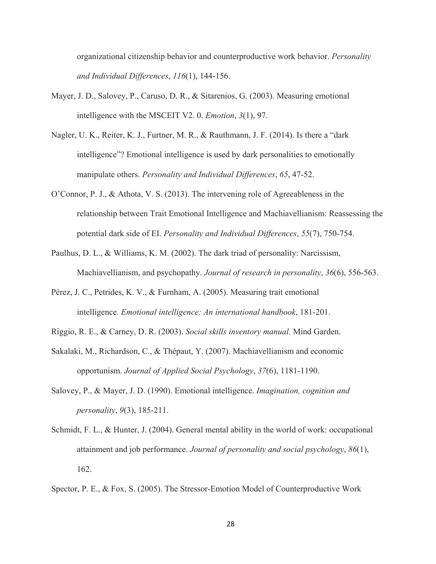organizational citizenship behavior and counterproductive work behavior. *Personality and Individual Differences*, *116*(1), 144-156.

- Mayer, J. D., Salovey, P., Caruso, D. R., & Sitarenios, G. (2003). Measuring emotional intelligence with the MSCEIT V2. 0. *Emotion*, *3*(1), 97.
- Nagler, U. K., Reiter, K. J., Furtner, M. R., & Rauthmann, J. F. (2014). Is there a "dark intelligence"? Emotional intelligence is used by dark personalities to emotionally manipulate others. *Personality and Individual Differences*, *65*, 47-52.
- O'Connor, P. J., & Athota, V. S. (2013). The intervening role of Agreeableness in the relationship between Trait Emotional Intelligence and Machiavellianism: Reassessing the potential dark side of EI. *Personality and Individual Differences*, *55*(7), 750-754.
- Paulhus, D. L., & Williams, K. M. (2002). The dark triad of personality: Narcissism, Machiavellianism, and psychopathy. *Journal of research in personality*, *36*(6), 556-563.
- Pérez, J. C., Petrides, K. V., & Furnham, A. (2005). Measuring trait emotional intelligence. *Emotional intelligence: An international handbook*, 181-201.
- Riggio, R. E., & Carney, D. R. (2003). *Social skills inventory manual*. Mind Garden.
- Sakalaki, M., Richardson, C., & Thépaut, Y. (2007). Machiavellianism and economic opportunism. *Journal of Applied Social Psychology*, *37*(6), 1181-1190.
- Salovey, P., & Mayer, J. D. (1990). Emotional intelligence. *Imagination, cognition and personality*, *9*(3), 185-211.
- Schmidt, F. L., & Hunter, J. (2004). General mental ability in the world of work: occupational attainment and job performance. *Journal of personality and social psychology*, *86*(1), 162.

Spector, P. E., & Fox, S. (2005). The Stressor-Emotion Model of Counterproductive Work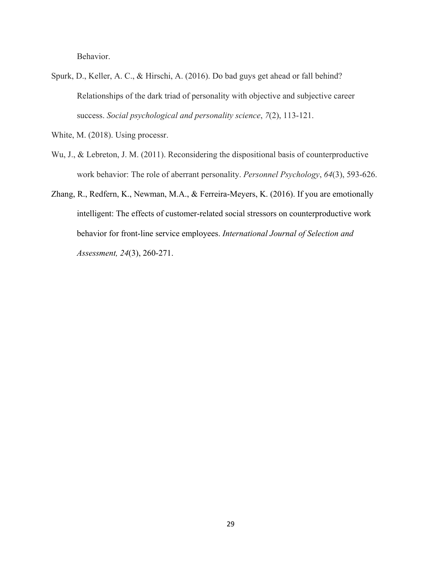Behavior.

- Spurk, D., Keller, A. C., & Hirschi, A. (2016). Do bad guys get ahead or fall behind? Relationships of the dark triad of personality with objective and subjective career success. *Social psychological and personality science*, *7*(2), 113-121.
- White, M. (2018). Using processr.
- Wu, J., & Lebreton, J. M. (2011). Reconsidering the dispositional basis of counterproductive work behavior: The role of aberrant personality. *Personnel Psychology*, *64*(3), 593-626.
- Zhang, R., Redfern, K., Newman, M.A., & Ferreira-Meyers, K. (2016). If you are emotionally intelligent: The effects of customer-related social stressors on counterproductive work behavior for front-line service employees. *International Journal of Selection and Assessment, 24*(3), 260-271.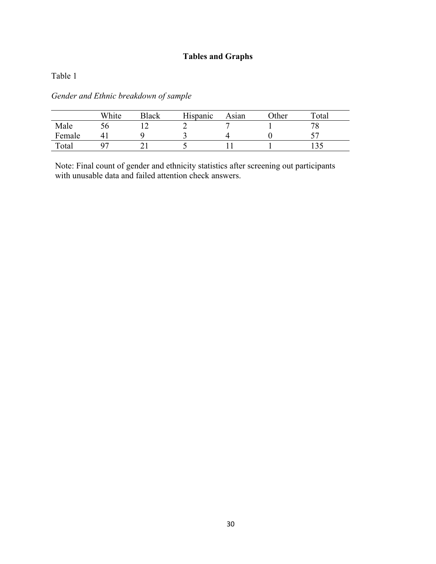## **Tables and Graphs**

Table 1

|        | White | Black | Hispanic | Asıan | )ther | $\tau_{\text{otal}}$ |
|--------|-------|-------|----------|-------|-------|----------------------|
| Male   |       |       |          |       |       |                      |
| Female |       |       |          |       |       |                      |
| Total  |       |       |          |       |       |                      |

*Gender and Ethnic breakdown of sample* 

Note: Final count of gender and ethnicity statistics after screening out participants with unusable data and failed attention check answers.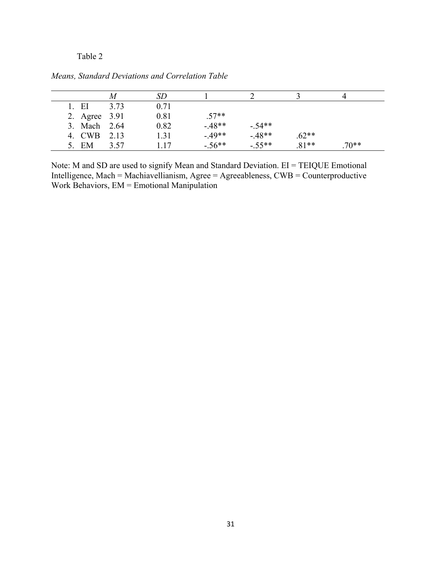### Table 2

|               | M    | SD   |          |          |         |         |
|---------------|------|------|----------|----------|---------|---------|
| 1. EI         | 3.73 | 0.71 |          |          |         |         |
| 2. Agree 3.91 |      | 0.81 | $.57**$  |          |         |         |
| 3. Mach 2.64  |      | 0.82 | $-48**$  | $-.54**$ |         |         |
| 4. CWB 2.13   |      | 1.31 | $-.49**$ | $-48**$  | $.62**$ |         |
| 5. EM         | 3.57 | 1.17 | $-.56**$ | $-.55**$ | $.81**$ | $.70**$ |

*Means, Standard Deviations and Correlation Table*

Note: M and SD are used to signify Mean and Standard Deviation. EI = TEIQUE Emotional Intelligence, Mach = Machiavellianism, Agree = Agreeableness, CWB = Counterproductive Work Behaviors, EM = Emotional Manipulation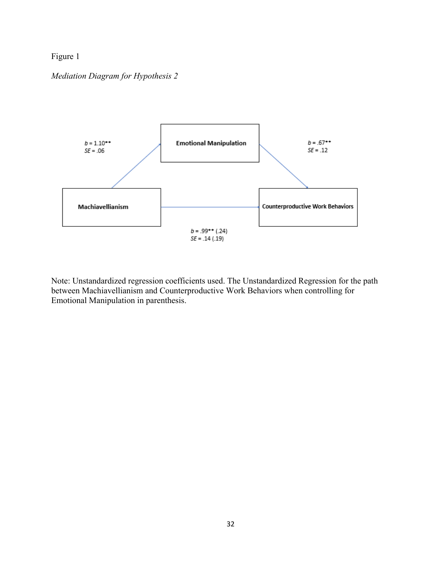## Figure 1

### *Mediation Diagram for Hypothesis 2*



Note: Unstandardized regression coefficients used. The Unstandardized Regression for the path between Machiavellianism and Counterproductive Work Behaviors when controlling for Emotional Manipulation in parenthesis.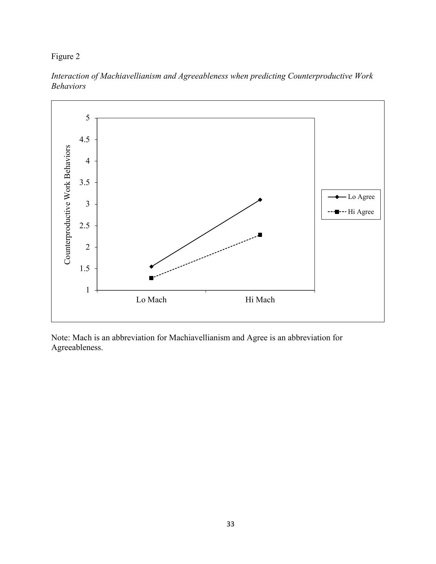Figure 2



*Interaction of Machiavellianism and Agreeableness when predicting Counterproductive Work Behaviors*

Note: Mach is an abbreviation for Machiavellianism and Agree is an abbreviation for Agreeableness.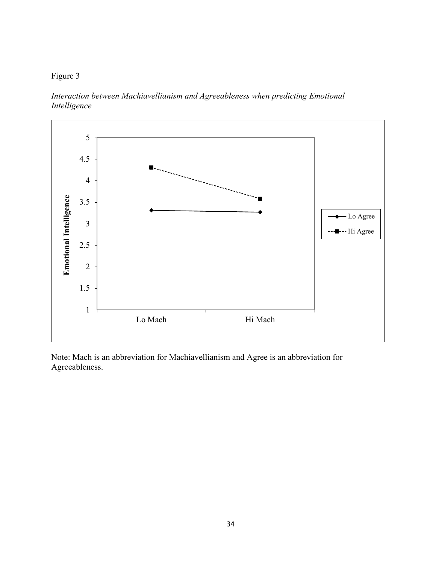## Figure 3

*Interaction between Machiavellianism and Agreeableness when predicting Emotional Intelligence*



Note: Mach is an abbreviation for Machiavellianism and Agree is an abbreviation for Agreeableness.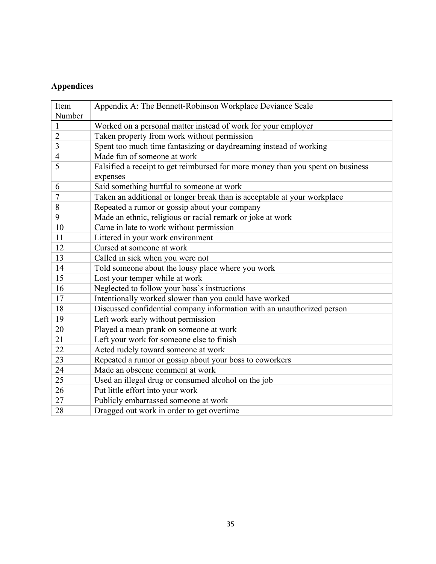## **Appendices**

| Item           | Appendix A: The Bennett-Robinson Workplace Deviance Scale                                   |
|----------------|---------------------------------------------------------------------------------------------|
| Number         |                                                                                             |
| $\mathbf{1}$   | Worked on a personal matter instead of work for your employer                               |
| $\overline{2}$ | Taken property from work without permission                                                 |
| 3              | Spent too much time fantasizing or daydreaming instead of working                           |
| 4              | Made fun of someone at work                                                                 |
| 5              | Falsified a receipt to get reimbursed for more money than you spent on business<br>expenses |
| 6              | Said something hurtful to someone at work                                                   |
| 7              | Taken an additional or longer break than is acceptable at your workplace                    |
| 8              | Repeated a rumor or gossip about your company                                               |
| 9              | Made an ethnic, religious or racial remark or joke at work                                  |
| 10             | Came in late to work without permission                                                     |
| 11             | Littered in your work environment                                                           |
| 12             | Cursed at someone at work                                                                   |
| 13             | Called in sick when you were not                                                            |
| 14             | Told someone about the lousy place where you work                                           |
| 15             | Lost your temper while at work                                                              |
| 16             | Neglected to follow your boss's instructions                                                |
| 17             | Intentionally worked slower than you could have worked                                      |
| 18             | Discussed confidential company information with an unauthorized person                      |
| 19             | Left work early without permission                                                          |
| 20             | Played a mean prank on someone at work                                                      |
| 21             | Left your work for someone else to finish                                                   |
| 22             | Acted rudely toward someone at work                                                         |
| 23             | Repeated a rumor or gossip about your boss to coworkers                                     |
| 24             | Made an obscene comment at work                                                             |
| 25             | Used an illegal drug or consumed alcohol on the job                                         |
| 26             | Put little effort into your work                                                            |
| 27             | Publicly embarrassed someone at work                                                        |
| 28             | Dragged out work in order to get overtime                                                   |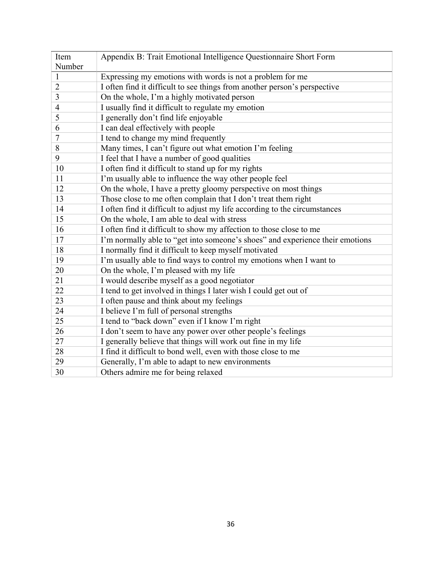| Item           | Appendix B: Trait Emotional Intelligence Questionnaire Short Form             |
|----------------|-------------------------------------------------------------------------------|
| Number         |                                                                               |
| $\mathbf{1}$   | Expressing my emotions with words is not a problem for me                     |
| $\overline{2}$ | I often find it difficult to see things from another person's perspective     |
| 3              | On the whole, I'm a highly motivated person                                   |
| $\overline{4}$ | I usually find it difficult to regulate my emotion                            |
| 5              | I generally don't find life enjoyable                                         |
| 6              | I can deal effectively with people                                            |
| 7              | I tend to change my mind frequently                                           |
| 8              | Many times, I can't figure out what emotion I'm feeling                       |
| 9              | I feel that I have a number of good qualities                                 |
| 10             | I often find it difficult to stand up for my rights                           |
| 11             | I'm usually able to influence the way other people feel                       |
| 12             | On the whole, I have a pretty gloomy perspective on most things               |
| 13             | Those close to me often complain that I don't treat them right                |
| 14             | I often find it difficult to adjust my life according to the circumstances    |
| 15             | On the whole, I am able to deal with stress                                   |
| 16             | I often find it difficult to show my affection to those close to me           |
| 17             | I'm normally able to "get into someone's shoes" and experience their emotions |
| 18             | I normally find it difficult to keep myself motivated                         |
| 19             | I'm usually able to find ways to control my emotions when I want to           |
| 20             | On the whole, I'm pleased with my life                                        |
| 21             | I would describe myself as a good negotiator                                  |
| 22             | I tend to get involved in things I later wish I could get out of              |
| 23             | I often pause and think about my feelings                                     |
| 24             | I believe I'm full of personal strengths                                      |
| 25             | I tend to "back down" even if I know I'm right                                |
| 26             | I don't seem to have any power over other people's feelings                   |
| 27             | I generally believe that things will work out fine in my life                 |
| 28             | I find it difficult to bond well, even with those close to me                 |
| 29             | Generally, I'm able to adapt to new environments                              |
| 30             | Others admire me for being relaxed                                            |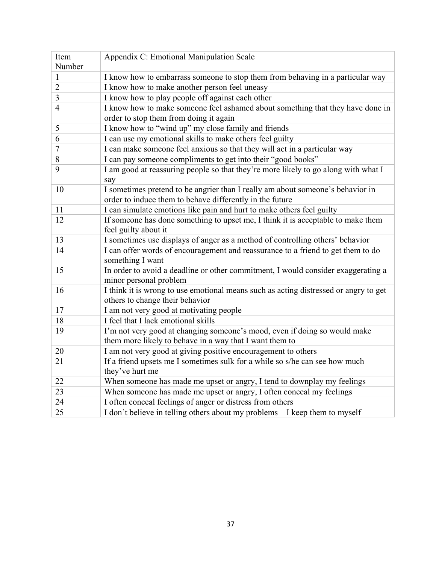| Item           | Appendix C: Emotional Manipulation Scale                                             |
|----------------|--------------------------------------------------------------------------------------|
| Number         |                                                                                      |
| $\mathbf{1}$   | I know how to embarrass someone to stop them from behaving in a particular way       |
| $\overline{2}$ | I know how to make another person feel uneasy                                        |
| 3              | I know how to play people off against each other                                     |
| $\overline{4}$ | I know how to make someone feel ashamed about something that they have done in       |
|                | order to stop them from doing it again                                               |
| 5              | I know how to "wind up" my close family and friends                                  |
| 6              | I can use my emotional skills to make others feel guilty                             |
| $\overline{7}$ | I can make someone feel anxious so that they will act in a particular way            |
| 8              | I can pay someone compliments to get into their "good books"                         |
| 9              | I am good at reassuring people so that they're more likely to go along with what I   |
|                | say                                                                                  |
| 10             | I sometimes pretend to be angrier than I really am about someone's behavior in       |
|                | order to induce them to behave differently in the future                             |
| 11             | I can simulate emotions like pain and hurt to make others feel guilty                |
| 12             | If someone has done something to upset me, I think it is acceptable to make them     |
|                | feel guilty about it                                                                 |
| 13             | I sometimes use displays of anger as a method of controlling others' behavior        |
| 14             | I can offer words of encouragement and reassurance to a friend to get them to do     |
|                | something I want                                                                     |
| 15             | In order to avoid a deadline or other commitment, I would consider exaggerating a    |
|                | minor personal problem                                                               |
| 16             | I think it is wrong to use emotional means such as acting distressed or angry to get |
|                | others to change their behavior                                                      |
| 17             | I am not very good at motivating people                                              |
| 18             | I feel that I lack emotional skills                                                  |
| 19             | I'm not very good at changing someone's mood, even if doing so would make            |
|                | them more likely to behave in a way that I want them to                              |
| 20             | I am not very good at giving positive encouragement to others                        |
| 21             | If a friend upsets me I sometimes sulk for a while so s/he can see how much          |
|                | they've hurt me                                                                      |
| 22             | When someone has made me upset or angry, I tend to downplay my feelings              |
| 23             | When someone has made me upset or angry, I often conceal my feelings                 |
| 24             | I often conceal feelings of anger or distress from others                            |
| 25             | I don't believe in telling others about my problems - I keep them to myself          |